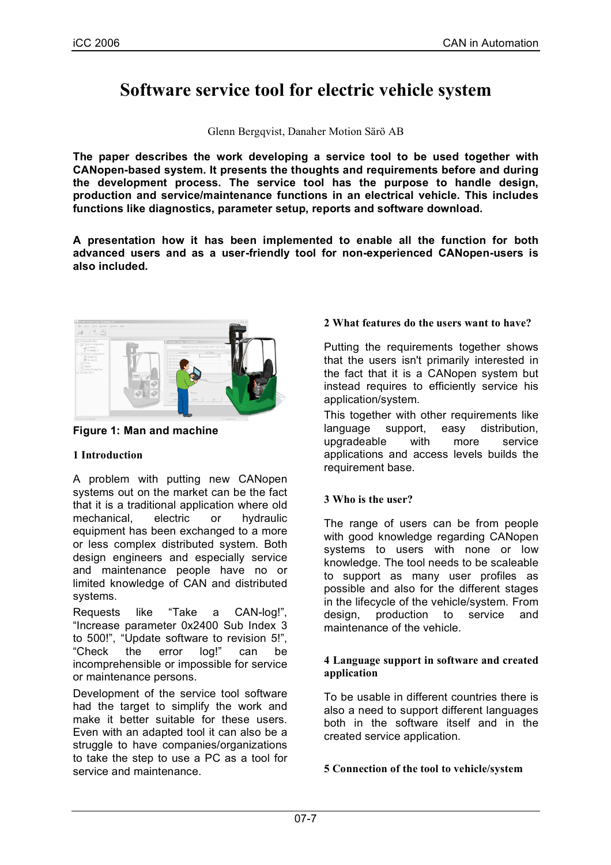# **Software service tool for electric vehicle system**

Glenn Bergqvist, Danaher Motion Särö AB

**The paper describes the work developing a service tool to be used together with CANopen-based system. It presents the thoughts and requirements before and during the development process. The service tool has the purpose to handle design, production and service/maintenance functions in an electrical vehicle. This includes functions like diagnostics, parameter setup, reports and software download.**

**A presentation how it has been implemented to enable all the function for both advanced users and as a user-friendly tool for non-experienced CANopen-users is also included.**



**Figure 1: Man and machine**

# **1 Introduction**

A problem with putting new CANopen systems out on the market can be the fact that it is a traditional application where old mechanical, electric or hydraulic equipment has been exchanged to a more or less complex distributed system. Both design engineers and especially service and maintenance people have no or limited knowledge of CAN and distributed systems.

Requests like "Take a CAN-log!", "Increase parameter 0x2400 Sub Index 3 to 500!", "Update software to revision 5!", "Check the error log!" can be incomprehensible or impossible for service or maintenance persons.

Development of the service tool software had the target to simplify the work and make it better suitable for these users. Even with an adapted tool it can also be a struggle to have companies/organizations to take the step to use a PC as a tool for service and maintenance.

# **2 What features do the users want to have?**

Putting the requirements together shows that the users isn't primarily interested in the fact that it is a CANopen system but instead requires to efficiently service his application/system.

This together with other requirements like language support, easy distribution, upgradeable with more service applications and access levels builds the requirement base.

# **3 Who is the user?**

The range of users can be from people with good knowledge regarding CANopen systems to users with none or low knowledge. The tool needs to be scaleable to support as many user profiles as possible and also for the different stages in the lifecycle of the vehicle/system. From design, production to service and maintenance of the vehicle.

#### **4 Language support in software and created application**

To be usable in different countries there is also a need to support different languages both in the software itself and in the created service application.

# **5 Connection of the tool to vehicle/system**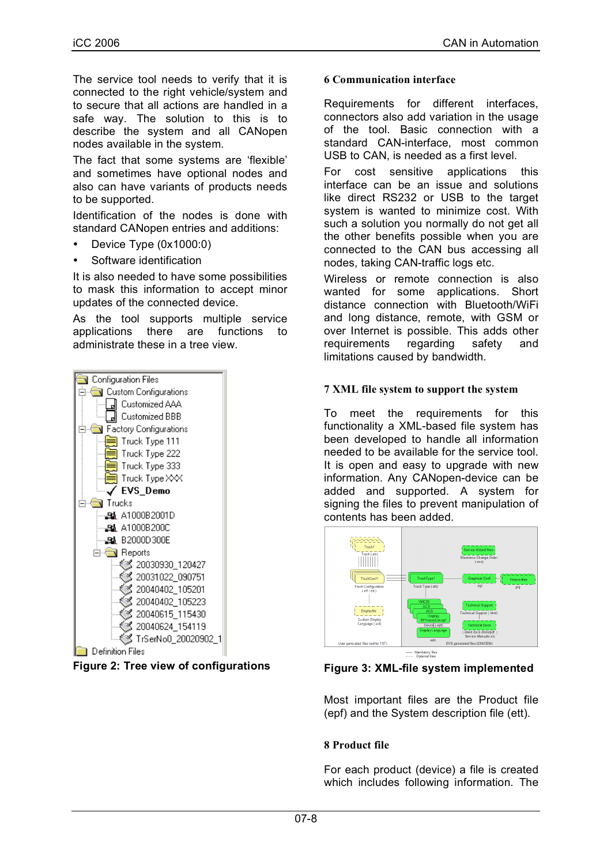The service tool needs to verify that it is connected to the right vehicle/system and to secure that all actions are handled in a safe way. The solution to this is to describe the system and all CANopen nodes available in the system.

The fact that some systems are 'flexible' and sometimes have optional nodes and also can have variants of products needs to be supported.

Identification of the nodes is done with standard CANopen entries and additions:

- Device Type (0x1000:0)
- Software identification

It is also needed to have some possibilities to mask this information to accept minor updates of the connected device.

As the tool supports multiple service applications there are functions to administrate these in a tree view.





#### **6 Communication interface**

Requirements for different interfaces, connectors also add variation in the usage of the tool. Basic connection with a standard CAN-interface, most common USB to CAN, is needed as a first level.

For cost sensitive applications this interface can be an issue and solutions like direct RS232 or USB to the target system is wanted to minimize cost. With such a solution you normally do not get all the other benefits possible when you are connected to the CAN bus accessing all nodes, taking CAN-traffic logs etc.

Wireless or remote connection is also wanted for some applications. Short distance connection with Bluetooth/WiFi and long distance, remote, with GSM or over Internet is possible. This adds other requirements regarding safety and limitations caused by bandwidth.

#### **7 XML file system to support the system**

To meet the requirements for this functionality a XML-based file system has been developed to handle all information needed to be available for the service tool. It is open and easy to upgrade with new information. Any CANopen-device can be added and supported. A system for signing the files to prevent manipulation of contents has been added.



**Figure 3: XML-file system implemented**

Most important files are the Product file (epf) and the System description file (ett).

#### **8 Product file**

For each product (device) a file is created which includes following information. The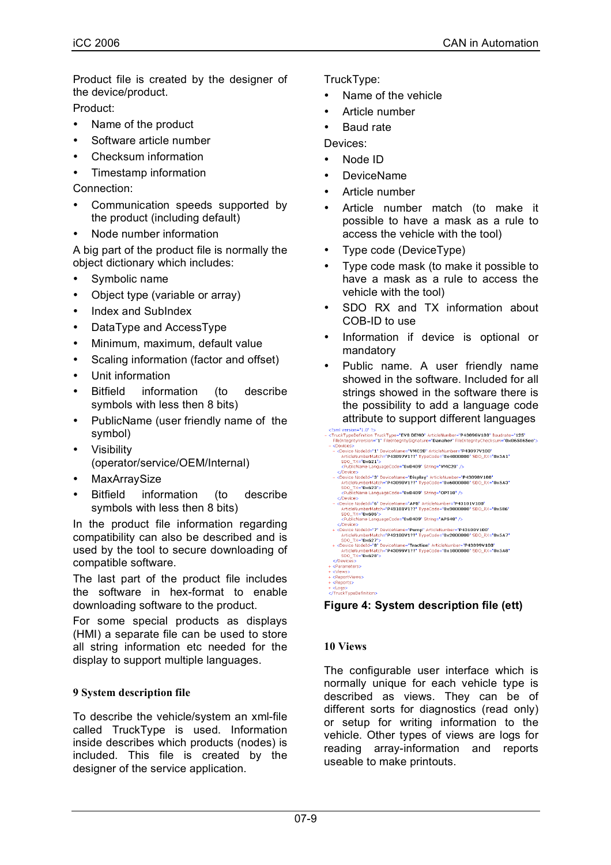Product file is created by the designer of the device/product.

Product:

- Name of the product
- Software article number
- Checksum information
- Timestamp information

Connection:

- Communication speeds supported by the product (including default)
- Node number information

A big part of the product file is normally the object dictionary which includes:

- Symbolic name
- Object type (variable or array)
- Index and SubIndex
- DataType and AccessType
- Minimum, maximum, default value
- Scaling information (factor and offset)
- Unit information
- Bitfield information (to describe symbols with less then 8 bits)
- PublicName (user friendly name of the symbol)
- Visibility (operator/service/OEM/Internal)
- **MaxArraySize**
- Bitfield information (to describe symbols with less then 8 bits)

In the product file information regarding compatibility can also be described and is used by the tool to secure downloading of compatible software.

The last part of the product file includes the software in hex-format to enable downloading software to the product.

For some special products as displays (HMI) a separate file can be used to store all string information etc needed for the display to support multiple languages.

# **9 System description file**

To describe the vehicle/system an xml-file called TruckType is used. Information inside describes which products (nodes) is included. This file is created by the designer of the service application.

TruckType:

- Name of the vehicle
- Article number
- Baud rate

Devices:

- Node ID
- DeviceName
- Article number
- Article number match (to make it possible to have a mask as a rule to access the vehicle with the tool)
- Type code (DeviceType)
- Type code mask (to make it possible to have a mask as a rule to access the vehicle with the tool)
- SDO RX and TX information about COB-ID to use
- Information if device is optional or mandatory
- Public name. A user friendly name showed in the software. Included for all strings showed in the software there is the possibility to add a language code



**Figure 4: System description file (ett)**

# **10 Views**

The configurable user interface which is normally unique for each vehicle type is described as views. They can be of different sorts for diagnostics (read only) or setup for writing information to the vehicle. Other types of views are logs for reading array-information and reports useable to make printouts.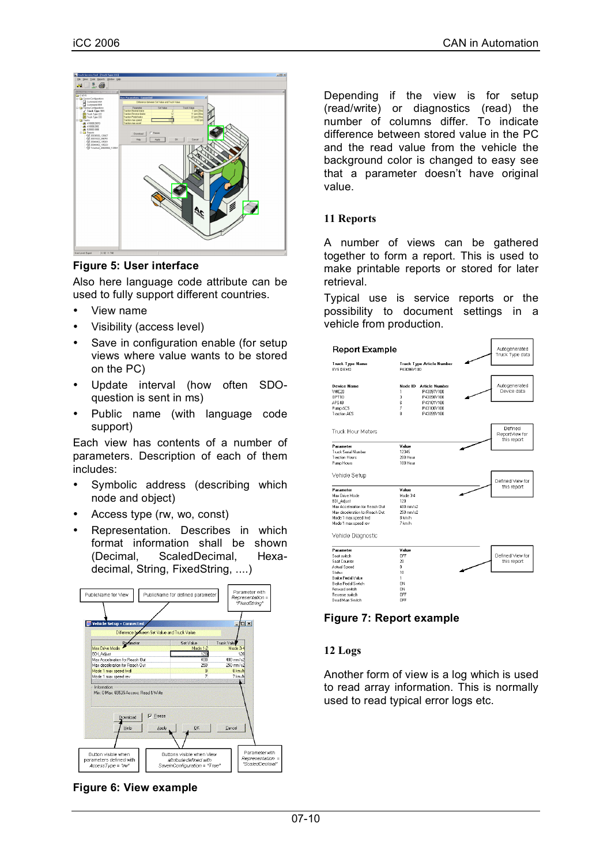

## **Figure 5: User interface**

Also here language code attribute can be used to fully support different countries.

- View name
- Visibility (access level)
- Save in configuration enable (for setup views where value wants to be stored on the PC)
- Update interval (how often SDOquestion is sent in ms)
- Public name (with language code support)

Each view has contents of a number of parameters. Description of each of them includes:

- Symbolic address (describing which node and object)
- Access type (rw, wo, const)
- Representation. Describes in which format information shall be shown (Decimal, ScaledDecimal, Hexadecimal, String, FixedString, ....)





Depending if the view is for setup (read/write) or diagnostics (read) the number of columns differ. To indicate difference between stored value in the PC and the read value from the vehicle the background color is changed to easy see that a parameter doesn't have original value.

## **11 Reports**

A number of views can be gathered together to form a report. This is used to make printable reports or stored for later retrieval.

Typical use is service reports or the possibility to document settings in a vehicle from production.



# **Figure 7: Report example**

# **12 Logs**

Another form of view is a log which is used to read array information. This is normally used to read typical error logs etc.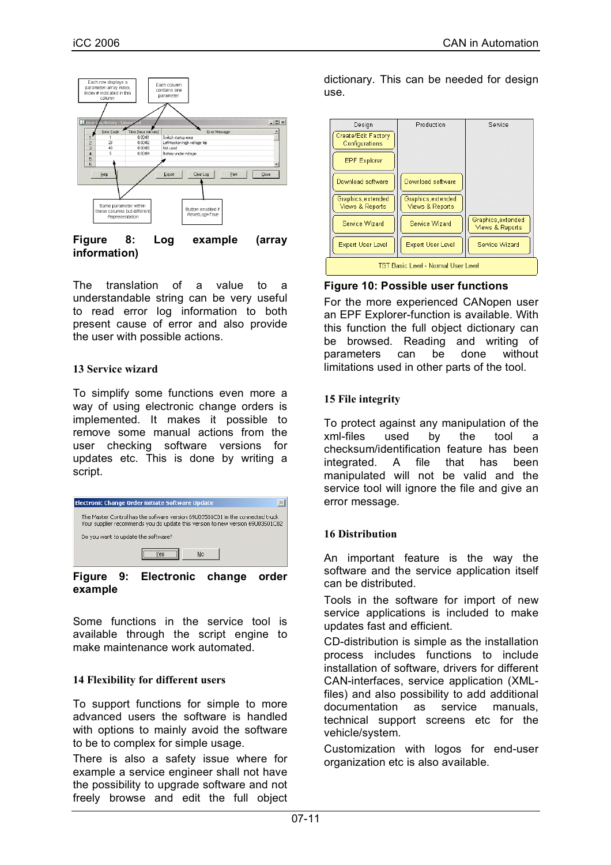

#### **Figure 8: Log example (array information)**

The translation of a value to a understandable string can be very useful to read error log information to both present cause of error and also provide the user with possible actions.

## **13 Service wizard**

To simplify some functions even more a way of using electronic change orders is implemented. It makes it possible to remove some manual actions from the user checking software versions for updates etc. This is done by writing a script.



**Figure 9: Electronic change order example**

Some functions in the service tool is available through the script engine to make maintenance work automated.

#### **14 Flexibility for different users**

To support functions for simple to more advanced users the software is handled with options to mainly avoid the software to be to complex for simple usage.

There is also a safety issue where for example a service engineer shall not have the possibility to upgrade software and not freely browse and edit the full object

dictionary. This can be needed for design use.



### **Figure 10: Possible user functions**

For the more experienced CANopen user an EPF Explorer-function is available. With this function the full object dictionary can be browsed. Reading and writing of parameters can be done without limitations used in other parts of the tool.

## **15 File integrity**

To protect against any manipulation of the xml-files used by the tool a checksum/identification feature has been integrated. A file that has been manipulated will not be valid and the service tool will ignore the file and give an error message.

# **16 Distribution**

An important feature is the way the software and the service application itself can be distributed.

Tools in the software for import of new service applications is included to make updates fast and efficient.

CD-distribution is simple as the installation process includes functions to include installation of software, drivers for different CAN-interfaces, service application (XMLfiles) and also possibility to add additional documentation as service manuals, technical support screens etc for the vehicle/system.

Customization with logos for end-user organization etc is also available.